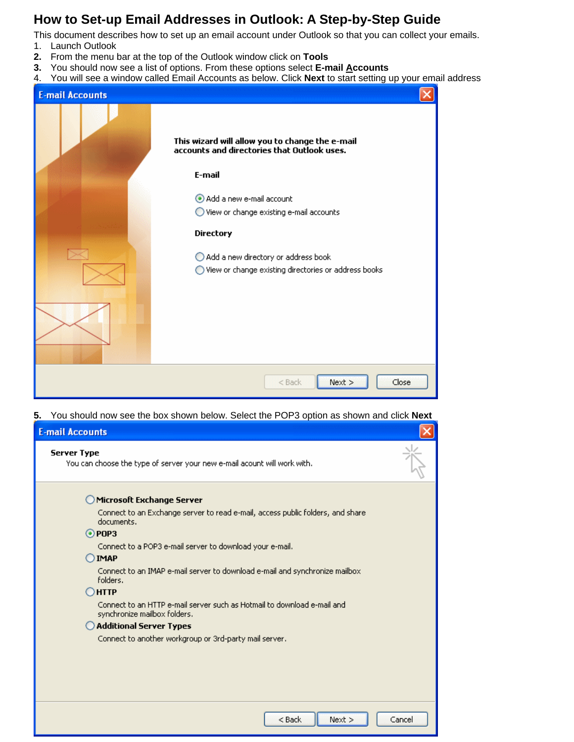## **How to Set-up Email Addresses in Outlook: A Step-by-Step Guide**

This document describes how to set up an email account under Outlook so that you can collect your emails.

- 1. Launch Outlook
- **2.** From the menu bar at the top of the Outlook window click on **Tools**
- **3.** You should now see a list of options. From these options select **E-mail Accounts**
- 4. You will see a window called Email Accounts as below. Click **Next** to start setting up your email address

| <b>E-mail Accounts</b> |                                                                                                                                                                                   |
|------------------------|-----------------------------------------------------------------------------------------------------------------------------------------------------------------------------------|
|                        | This wizard will allow you to change the e-mail<br>accounts and directories that Outlook uses.<br>E-mail<br>Add a new e-mail account<br>◯ View or change existing e-mail accounts |
|                        | <b>Directory</b><br>Add a new directory or address book<br>View or change existing directories or address books                                                                   |
|                        | Next<br>Close<br>$<$ Back                                                                                                                                                         |

**5.** You should now see the box shown below. Select the POP3 option as shown and click **Next** 

| <b>E-mail Accounts</b>                                                                                  |        |
|---------------------------------------------------------------------------------------------------------|--------|
| <b>Server Type</b><br>You can choose the type of server your new e-mail acount will work with.          |        |
| Microsoft Exchange Server                                                                               |        |
| Connect to an Exchange server to read e-mail, access public folders, and share<br>documents.            |        |
| $\odot$ POP3                                                                                            |        |
| Connect to a POP3 e-mail server to download your e-mail.                                                |        |
| <b>IMAP</b>                                                                                             |        |
| Connect to an IMAP e-mail server to download e-mail and synchronize mailbox<br>folders.                 |        |
| HTTP)                                                                                                   |        |
| Connect to an HTTP e-mail server such as Hotmail to download e-mail and<br>synchronize mailbox folders. |        |
| <b>Additional Server Types</b>                                                                          |        |
| Connect to another workgroup or 3rd-party mail server.                                                  |        |
|                                                                                                         |        |
|                                                                                                         |        |
|                                                                                                         |        |
|                                                                                                         |        |
|                                                                                                         |        |
| $<$ Back<br>Next                                                                                        | Cancel |